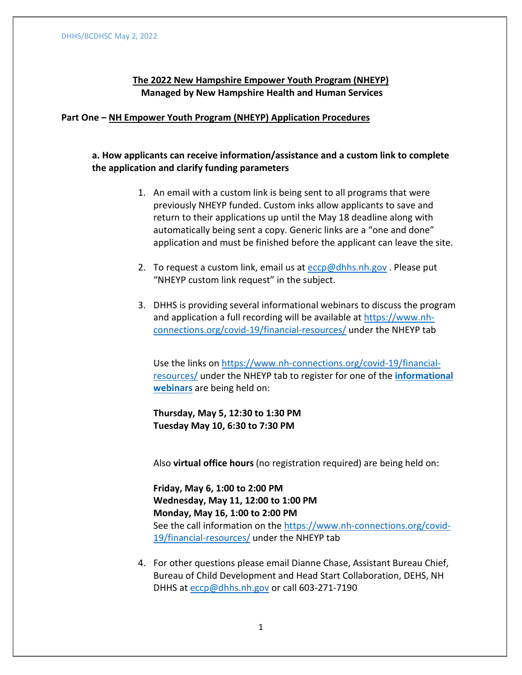# **The 2022 New Hampshire Empower Youth Program (NHEYP) Managed by New Hampshire Health and Human Services**

## **Part One – NH Empower Youth Program (NHEYP) Application Procedures**

# **a. How applicants can receive information/assistance and a custom link to complete the application and clarify funding parameters**

- 1. An email with a custom link is being sent to all programs that were previously NHEYP funded. Custom inks allow applicants to save and return to their applications up until the May 18 deadline along with automatically being sent a copy. Generic links are a "one and done" application and must be finished before the applicant can leave the site.
- 2. To request a custom link, email us at  $e^{c}$  [eccp@dhhs.nh.gov](mailto:eccp@dhhs.nh.gov). Please put "NHEYP custom link request" in the subject.
- 3. DHHS is providing several informational webinars to discuss the program and application a full recording will be available at [https://www.nh](https://www.nh-connections.org/covid-19/financial-resources/)[connections.org/covid-19/financial-resources/](https://www.nh-connections.org/covid-19/financial-resources/) under the NHEYP tab

Use the links on [https://www.nh-connections.org/covid-19/financial](https://www.nh-connections.org/covid-19/financial-resources/)[resources/](https://www.nh-connections.org/covid-19/financial-resources/) under the NHEYP tab to register for one of the **[informational](https://www.eventbrite.com/e/the-2022-nh-empower-youth-program-grant-informational-webinar-tickets-330663612767)  [webinars](https://www.eventbrite.com/e/the-2022-nh-empower-youth-program-grant-informational-webinar-tickets-330663612767)** are being held on:

**Thursday, May 5, 12:30 to 1:30 PM Tuesday May 10, 6:30 to 7:30 PM**

Also **virtual office hours** (no registration required) are being held on:

**Friday, May 6, 1:00 to 2:00 PM Wednesday, May 11, 12:00 to 1:00 PM Monday, May 16, 1:00 to 2:00 PM** See the call information on the [https://www.nh-connections.org/covid-](https://www.nh-connections.org/covid-19/financial-resources/)[19/financial-resources/](https://www.nh-connections.org/covid-19/financial-resources/) under the NHEYP tab

4. For other questions please email Dianne Chase, Assistant Bureau Chief, Bureau of Child Development and Head Start Collaboration, DEHS, NH DHHS at [eccp@dhhs.nh.gov](mailto:eccp@dhhs.nh.gov) or call 603-271-7190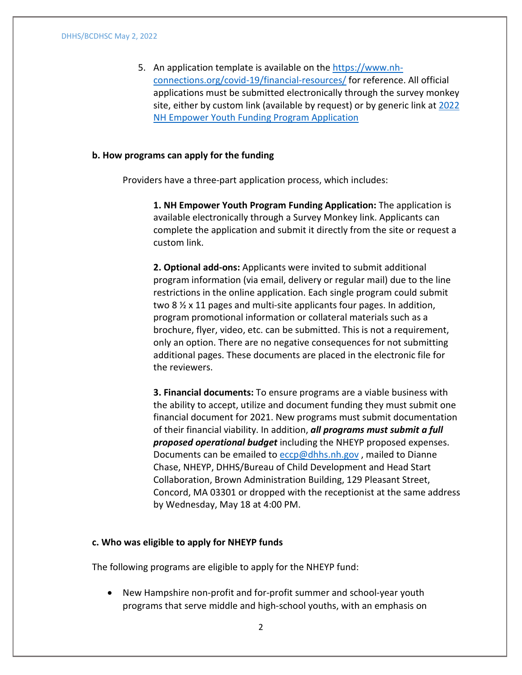5. An application template is available on the [https://www.nh](https://www.nh-connections.org/covid-19/financial-resources/)[connections.org/covid-19/financial-resources/](https://www.nh-connections.org/covid-19/financial-resources/) for reference. All official applications must be submitted electronically through the survey monkey site, either by custom link (available by request) or by generic link at [2022](https://www.surveymonkey.com/r/VSCZBCH)  [NH Empower Youth Funding Program Application](https://www.surveymonkey.com/r/VSCZBCH)

### **b. How programs can apply for the funding**

Providers have a three-part application process, which includes:

**1. NH Empower Youth Program Funding Application:** The application is available electronically through a Survey Monkey link. Applicants can complete the application and submit it directly from the site or request a custom link.

**2. Optional add-ons:** Applicants were invited to submit additional program information (via email, delivery or regular mail) due to the line restrictions in the online application. Each single program could submit two 8 ½ x 11 pages and multi-site applicants four pages. In addition, program promotional information or collateral materials such as a brochure, flyer, video, etc. can be submitted. This is not a requirement, only an option. There are no negative consequences for not submitting additional pages. These documents are placed in the electronic file for the reviewers.

**3. Financial documents:** To ensure programs are a viable business with the ability to accept, utilize and document funding they must submit one financial document for 2021. New programs must submit documentation of their financial viability. In addition, *all programs must submit a full proposed operational budget* including the NHEYP proposed expenses. Documents can be emailed to [eccp@dhhs.nh.gov](mailto:eccp@dhhs.nh.gov), mailed to Dianne Chase, NHEYP, DHHS/Bureau of Child Development and Head Start Collaboration, Brown Administration Building, 129 Pleasant Street, Concord, MA 03301 or dropped with the receptionist at the same address by Wednesday, May 18 at 4:00 PM.

#### **c. Who was eligible to apply for NHEYP funds**

The following programs are eligible to apply for the NHEYP fund:

• New Hampshire non-profit and for-profit summer and school-year youth programs that serve middle and high-school youths, with an emphasis on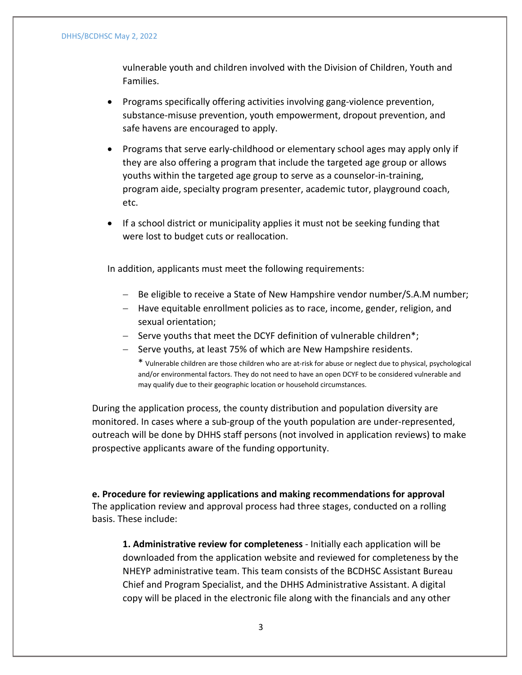#### DHHS/BCDHSC May 2, 2022

vulnerable youth and children involved with the Division of Children, Youth and Families.

- Programs specifically offering activities involving gang-violence prevention, substance-misuse prevention, youth empowerment, dropout prevention, and safe havens are encouraged to apply.
- Programs that serve early-childhood or elementary school ages may apply only if they are also offering a program that include the targeted age group or allows youths within the targeted age group to serve as a counselor-in-training, program aide, specialty program presenter, academic tutor, playground coach, etc.
- If a school district or municipality applies it must not be seeking funding that were lost to budget cuts or reallocation.

In addition, applicants must meet the following requirements:

- − Be eligible to receive a State of New Hampshire vendor number/S.A.M number;
- − Have equitable enrollment policies as to race, income, gender, religion, and sexual orientation;
- − Serve youths that meet the DCYF definition of vulnerable children\*;
- − Serve youths, at least 75% of which are New Hampshire residents.

\* Vulnerable children are those children who are at-risk for abuse or neglect due to physical, psychological and/or environmental factors. They do not need to have an open DCYF to be considered vulnerable and may qualify due to their geographic location or household circumstances.

During the application process, the county distribution and population diversity are monitored. In cases where a sub-group of the youth population are under-represented, outreach will be done by DHHS staff persons (not involved in application reviews) to make prospective applicants aware of the funding opportunity.

**e. Procedure for reviewing applications and making recommendations for approval** The application review and approval process had three stages, conducted on a rolling basis. These include:

**1. Administrative review for completeness** - Initially each application will be downloaded from the application website and reviewed for completeness by the NHEYP administrative team. This team consists of the BCDHSC Assistant Bureau Chief and Program Specialist, and the DHHS Administrative Assistant. A digital copy will be placed in the electronic file along with the financials and any other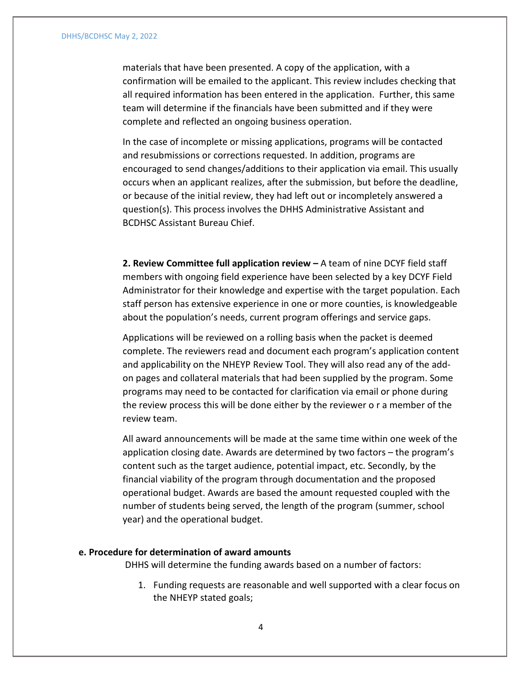#### DHHS/BCDHSC May 2, 2022

materials that have been presented. A copy of the application, with a confirmation will be emailed to the applicant. This review includes checking that all required information has been entered in the application. Further, this same team will determine if the financials have been submitted and if they were complete and reflected an ongoing business operation.

In the case of incomplete or missing applications, programs will be contacted and resubmissions or corrections requested. In addition, programs are encouraged to send changes/additions to their application via email. This usually occurs when an applicant realizes, after the submission, but before the deadline, or because of the initial review, they had left out or incompletely answered a question(s). This process involves the DHHS Administrative Assistant and BCDHSC Assistant Bureau Chief.

**2. Review Committee full application review –** A team of nine DCYF field staff members with ongoing field experience have been selected by a key DCYF Field Administrator for their knowledge and expertise with the target population. Each staff person has extensive experience in one or more counties, is knowledgeable about the population's needs, current program offerings and service gaps.

Applications will be reviewed on a rolling basis when the packet is deemed complete. The reviewers read and document each program's application content and applicability on the NHEYP Review Tool. They will also read any of the addon pages and collateral materials that had been supplied by the program. Some programs may need to be contacted for clarification via email or phone during the review process this will be done either by the reviewer o r a member of the review team.

All award announcements will be made at the same time within one week of the application closing date. Awards are determined by two factors – the program's content such as the target audience, potential impact, etc. Secondly, by the financial viability of the program through documentation and the proposed operational budget. Awards are based the amount requested coupled with the number of students being served, the length of the program (summer, school year) and the operational budget.

#### **e. Procedure for determination of award amounts**

DHHS will determine the funding awards based on a number of factors:

1. Funding requests are reasonable and well supported with a clear focus on the NHEYP stated goals;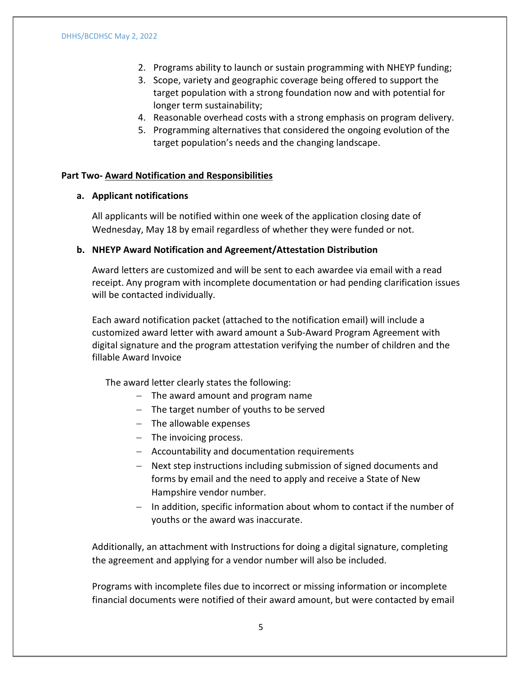- 2. Programs ability to launch or sustain programming with NHEYP funding;
- 3. Scope, variety and geographic coverage being offered to support the target population with a strong foundation now and with potential for longer term sustainability;
- 4. Reasonable overhead costs with a strong emphasis on program delivery.
- 5. Programming alternatives that considered the ongoing evolution of the target population's needs and the changing landscape.

## **Part Two- Award Notification and Responsibilities**

## **a. Applicant notifications**

All applicants will be notified within one week of the application closing date of Wednesday, May 18 by email regardless of whether they were funded or not.

## **b. NHEYP Award Notification and Agreement/Attestation Distribution**

Award letters are customized and will be sent to each awardee via email with a read receipt. Any program with incomplete documentation or had pending clarification issues will be contacted individually.

Each award notification packet (attached to the notification email) will include a customized award letter with award amount a Sub-Award Program Agreement with digital signature and the program attestation verifying the number of children and the fillable Award Invoice

The award letter clearly states the following:

- − The award amount and program name
- − The target number of youths to be served
- − The allowable expenses
- − The invoicing process.
- − Accountability and documentation requirements
- − Next step instructions including submission of signed documents and forms by email and the need to apply and receive a State of New Hampshire vendor number.
- − In addition, specific information about whom to contact if the number of youths or the award was inaccurate.

Additionally, an attachment with Instructions for doing a digital signature, completing the agreement and applying for a vendor number will also be included.

Programs with incomplete files due to incorrect or missing information or incomplete financial documents were notified of their award amount, but were contacted by email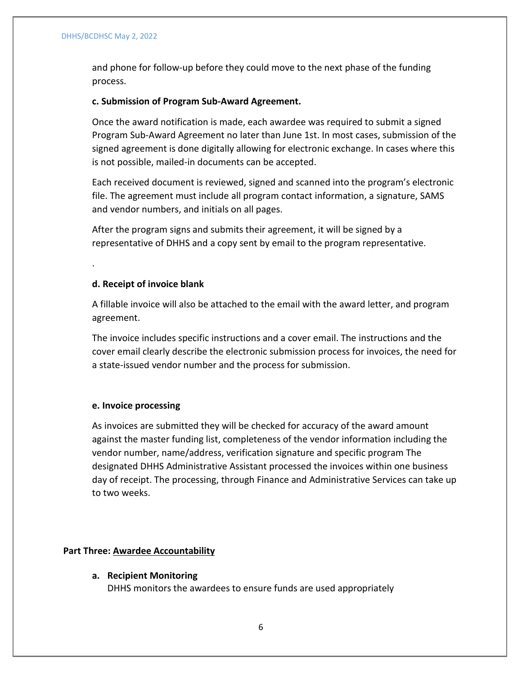and phone for follow-up before they could move to the next phase of the funding process.

## **c. Submission of Program Sub-Award Agreement.**

Once the award notification is made, each awardee was required to submit a signed Program Sub-Award Agreement no later than June 1st. In most cases, submission of the signed agreement is done digitally allowing for electronic exchange. In cases where this is not possible, mailed-in documents can be accepted.

Each received document is reviewed, signed and scanned into the program's electronic file. The agreement must include all program contact information, a signature, SAMS and vendor numbers, and initials on all pages.

After the program signs and submits their agreement, it will be signed by a representative of DHHS and a copy sent by email to the program representative.

## **d. Receipt of invoice blank**

.

A fillable invoice will also be attached to the email with the award letter, and program agreement.

The invoice includes specific instructions and a cover email. The instructions and the cover email clearly describe the electronic submission process for invoices, the need for a state-issued vendor number and the process for submission.

## **e. Invoice processing**

As invoices are submitted they will be checked for accuracy of the award amount against the master funding list, completeness of the vendor information including the vendor number, name/address, verification signature and specific program The designated DHHS Administrative Assistant processed the invoices within one business day of receipt. The processing, through Finance and Administrative Services can take up to two weeks.

## **Part Three: Awardee Accountability**

**a. Recipient Monitoring** DHHS monitors the awardees to ensure funds are used appropriately